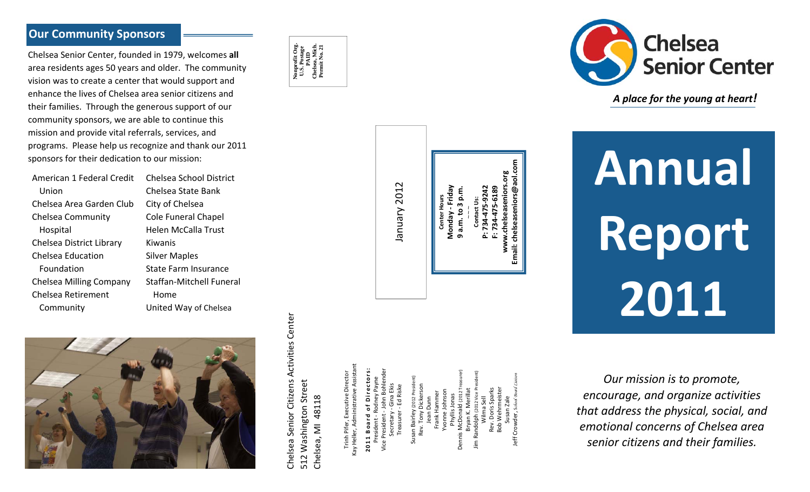### **Our Community Sponsors**

Chelsea Senior Center, founded in 1979, welcomes **all** area residents ages 50 years and older. The community vision was to create <sup>a</sup> center that would support and enhance the lives of Chelsea area senior citizens andtheir families. Through the generous support of our community sponsors, we are able to continue this mission and provide vital referrals, services, and programs. Please help us recognize and thank our 2011 sponsors for their dedication to our mission:

American 1 Federal Credit Chelsea School District UnionChelsea Area Garden Club Chelsea Community Hospital Chelsea District Library Chelsea EducationFoundationChelsea Milling Company Chelsea Retirement Community

Chelsea State Bank City of Chelsea Cole Funeral Chapel Helen McCalla Trust KiwanisSilver Maples State Farm Insurance Staffan‐Mitchell Funeral HomeUnited Way of Chelsea





Chelsea Senior Citizens Activities Center

Chelsea Senior Citizens Activities Center

512 Washington Street Chelsea, MI 48118

512 Washington Street Chelsea, MI 48118 Trinh Pifer, Executive Director Kay Heller, Administrative Assistant **2011 Board o f Directors:** President ‐ Rodney Payne Vice President ‐ John Bohlender

**Email: chelseaseniors@aol.com** chelseaseniors.org **www.chelseaseniors.org** chelseaseniors@aol. January 2012 January 2012 **Monday ‐ Friday** 4-475-9242 **P: 734‐475‐9242** 34-475-6189 **F: 734‐475‐6189** Friday **a.m. to 3 p.m.** a.m. to 3 p.m **Center Hours** Center Hours tact Us: **Contact Us:** ~~~ Vebnow **9**Email:

> Dennis McDonald (2012 Treasurer) Jim Randolph (2012 Vice President) Jeff Crowder, S*chool Board Liaison* Susan Bairley (2012 President) Secretary ‐ Gina Ekis Rev. Tony Dickerson Treasurer ‐ Ed Riske Bob Wehrmeister Rev. Doris Sparks Bryan K. Merillat Yvonne Johnson Frank Hammer Phyllis Jonas Wilma Sell Jean Dunn Susan Zale leff Crowder Jim Rand Dennis



*A place for the young at heart!*

**Annual Report 2011**

*Our mission is to promote, encourage, and organize activities that address the physical, social, and emotional concerns of Chelsea area senior citizens and their families.*